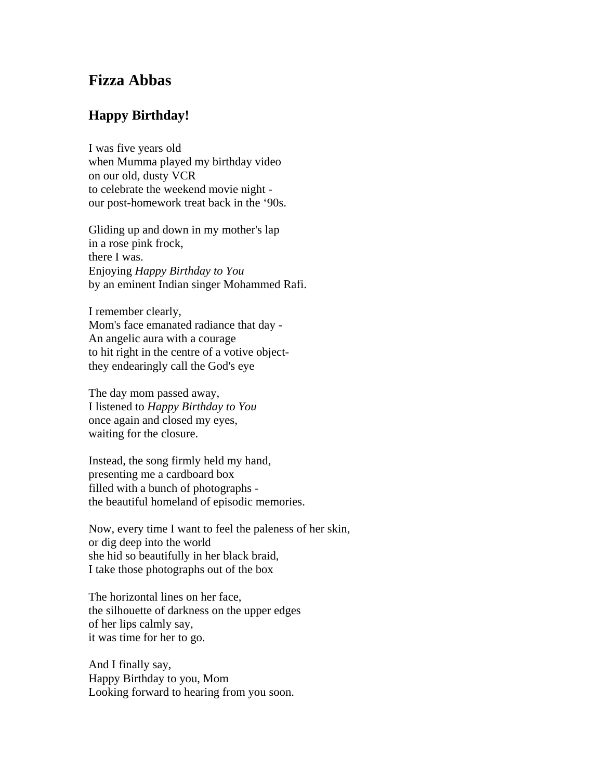## **Fizza Abbas**

## **Happy Birthday!**

I was five years old when Mumma played my birthday video on our old, dusty VCR to celebrate the weekend movie night our post-homework treat back in the '90s.

Gliding up and down in my mother's lap in a rose pink frock, there I was. Enjoying *Happy Birthday to You* by an eminent Indian singer Mohammed Rafi.

I remember clearly, Mom's face emanated radiance that day - An angelic aura with a courage to hit right in the centre of a votive objectthey endearingly call the God's eye

The day mom passed away, I listened to *Happy Birthday to You* once again and closed my eyes, waiting for the closure.

Instead, the song firmly held my hand, presenting me a cardboard box filled with a bunch of photographs the beautiful homeland of episodic memories.

Now, every time I want to feel the paleness of her skin, or dig deep into the world she hid so beautifully in her black braid, I take those photographs out of the box

The horizontal lines on her face, the silhouette of darkness on the upper edges of her lips calmly say, it was time for her to go.

And I finally say, Happy Birthday to you, Mom Looking forward to hearing from you soon.